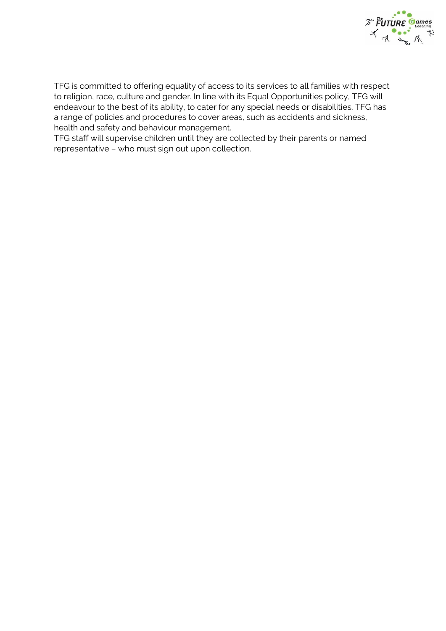

TFG is committed to offering equality of access to its services to all families with respect to religion, race, culture and gender. In line with its Equal Opportunities policy, TFG will endeavour to the best of its ability, to cater for any special needs or disabilities. TFG has a range of policies and procedures to cover areas, such as accidents and sickness, health and safety and behaviour management.

TFG staff will supervise children until they are collected by their parents or named representative – who must sign out upon collection.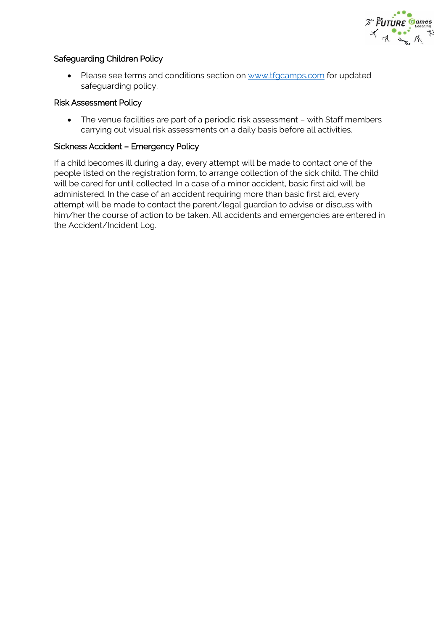

## Safeguarding Children Policy

• Please see terms and conditions section on [www.tfgcamps.com](http://www.tfgcamps.com/) for updated safeguarding policy.

#### Risk Assessment Policy

 The venue facilities are part of a periodic risk assessment – with Staff members carrying out visual risk assessments on a daily basis before all activities.

#### Sickness Accident – Emergency Policy

If a child becomes ill during a day, every attempt will be made to contact one of the people listed on the registration form, to arrange collection of the sick child. The child will be cared for until collected. In a case of a minor accident, basic first aid will be administered. In the case of an accident requiring more than basic first aid, every attempt will be made to contact the parent/legal guardian to advise or discuss with him/her the course of action to be taken. All accidents and emergencies are entered in the Accident/Incident Log.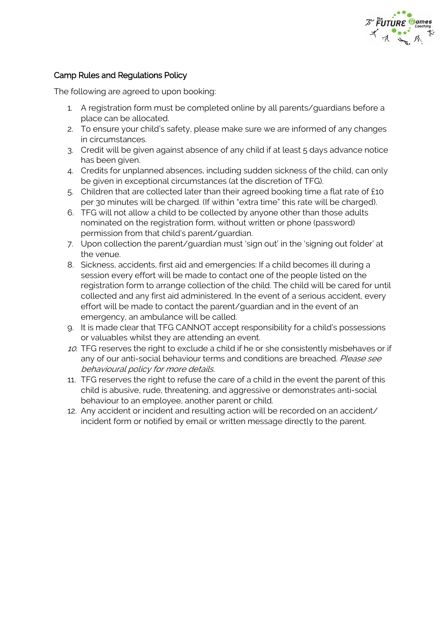

## Camp Rules and Regulations Policy

The following are agreed to upon booking:

- 1. A registration form must be completed online by all parents/guardians before a place can be allocated.
- 2. To ensure your child's safety, please make sure we are informed of any changes in circumstances.
- 3. Credit will be given against absence of any child if at least 5 days advance notice has been given.
- 4. Credits for unplanned absences, including sudden sickness of the child, can only be given in exceptional circumstances (at the discretion of TFG).
- 5. Children that are collected later than their agreed booking time a flat rate of £10 per 30 minutes will be charged. (If within "extra time" this rate will be charged).
- 6. TFG will not allow a child to be collected by anyone other than those adults nominated on the registration form, without written or phone (password) permission from that child's parent/guardian.
- 7. Upon collection the parent/guardian must 'sign out' in the 'signing out folder' at the venue.
- 8. Sickness, accidents, first aid and emergencies: If a child becomes ill during a session every effort will be made to contact one of the people listed on the registration form to arrange collection of the child. The child will be cared for until collected and any first aid administered. In the event of a serious accident, every effort will be made to contact the parent/guardian and in the event of an emergency, an ambulance will be called.
- 9. It is made clear that TFG CANNOT accept responsibility for a child's possessions or valuables whilst they are attending an event.
- 10. TFG reserves the right to exclude a child if he or she consistently misbehaves or if any of our anti-social behaviour terms and conditions are breached. Please see behavioural policy for more details.
- 11. TFG reserves the right to refuse the care of a child in the event the parent of this child is abusive, rude, threatening, and aggressive or demonstrates anti-social behaviour to an employee, another parent or child.
- 12. Any accident or incident and resulting action will be recorded on an accident/ incident form or notified by email or written message directly to the parent.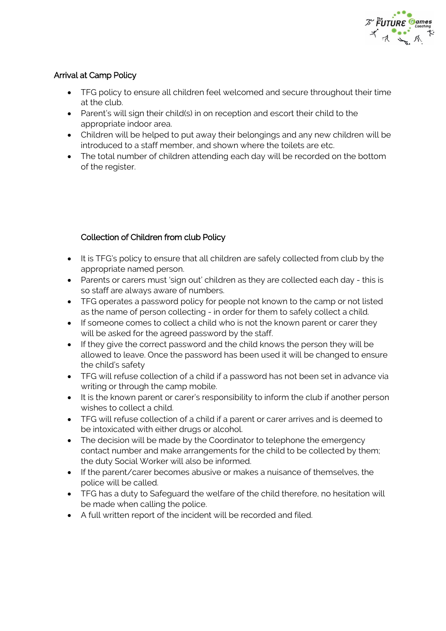

## Arrival at Camp Policy

- TFG policy to ensure all children feel welcomed and secure throughout their time at the club.
- Parent's will sign their child(s) in on reception and escort their child to the appropriate indoor area.
- Children will be helped to put away their belongings and any new children will be introduced to a staff member, and shown where the toilets are etc.
- The total number of children attending each day will be recorded on the bottom of the register.

# Collection of Children from club Policy

- It is TFG's policy to ensure that all children are safely collected from club by the appropriate named person.
- Parents or carers must 'sign out' children as they are collected each day this is so staff are always aware of numbers.
- TFG operates a password policy for people not known to the camp or not listed as the name of person collecting - in order for them to safely collect a child.
- If someone comes to collect a child who is not the known parent or carer they will be asked for the agreed password by the staff.
- If they give the correct password and the child knows the person they will be allowed to leave. Once the password has been used it will be changed to ensure the child's safety
- TFG will refuse collection of a child if a password has not been set in advance via writing or through the camp mobile.
- It is the known parent or carer's responsibility to inform the club if another person wishes to collect a child.
- TFG will refuse collection of a child if a parent or carer arrives and is deemed to be intoxicated with either drugs or alcohol.
- The decision will be made by the Coordinator to telephone the emergency contact number and make arrangements for the child to be collected by them; the duty Social Worker will also be informed.
- If the parent/carer becomes abusive or makes a nuisance of themselves, the police will be called.
- TFG has a duty to Safeguard the welfare of the child therefore, no hesitation will be made when calling the police.
- A full written report of the incident will be recorded and filed.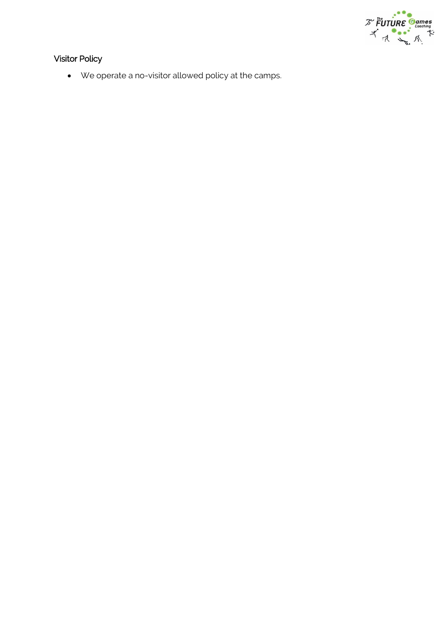

# Visitor Policy

We operate a no-visitor allowed policy at the camps.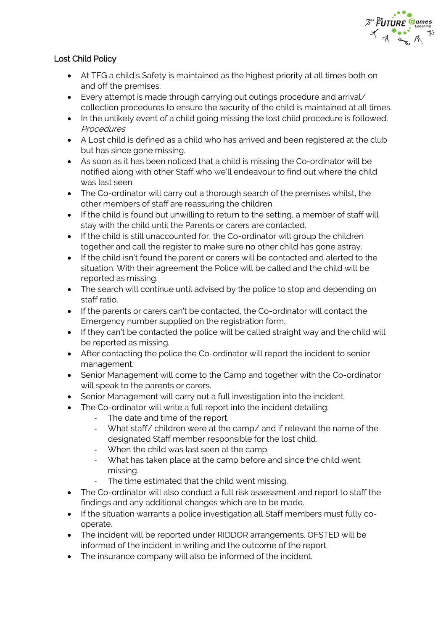

# Lost Child Policy

- At TFG a child's Safety is maintained as the highest priority at all times both on and off the premises.
- Every attempt is made through carrying out outings procedure and arrival/ collection procedures to ensure the security of the child is maintained at all times.
- In the unlikely event of a child going missing the lost child procedure is followed. Procedures
- A Lost child is defined as a child who has arrived and been registered at the club but has since gone missing.
- As soon as it has been noticed that a child is missing the Co-ordinator will be notified along with other Staff who we'll endeavour to find out where the child was last seen.
- The Co-ordinator will carry out a thorough search of the premises whilst, the other members of staff are reassuring the children.
- If the child is found but unwilling to return to the setting, a member of staff will stay with the child until the Parents or carers are contacted.
- If the child is still unaccounted for, the Co-ordinator will group the children together and call the register to make sure no other child has gone astray.
- If the child isn't found the parent or carers will be contacted and alerted to the situation. With their agreement the Police will be called and the child will be reported as missing.
- The search will continue until advised by the police to stop and depending on staff ratio.
- If the parents or carers can't be contacted, the Co-ordinator will contact the Emergency number supplied on the registration form.
- If they can't be contacted the police will be called straight way and the child will be reported as missing.
- After contacting the police the Co-ordinator will report the incident to senior management.
- Senior Management will come to the Camp and together with the Co-ordinator will speak to the parents or carers.
- Senior Management will carry out a full investigation into the incident
- The Co-ordinator will write a full report into the incident detailing:
	- The date and time of the report.
	- What staff/ children were at the camp/ and if relevant the name of the designated Staff member responsible for the lost child.
	- When the child was last seen at the camp.
	- What has taken place at the camp before and since the child went missing.
	- The time estimated that the child went missing.
- The Co-ordinator will also conduct a full risk assessment and report to staff the findings and any additional changes which are to be made.
- If the situation warrants a police investigation all Staff members must fully cooperate.
- The incident will be reported under RIDDOR arrangements. OFSTED will be informed of the incident in writing and the outcome of the report.
- The insurance company will also be informed of the incident.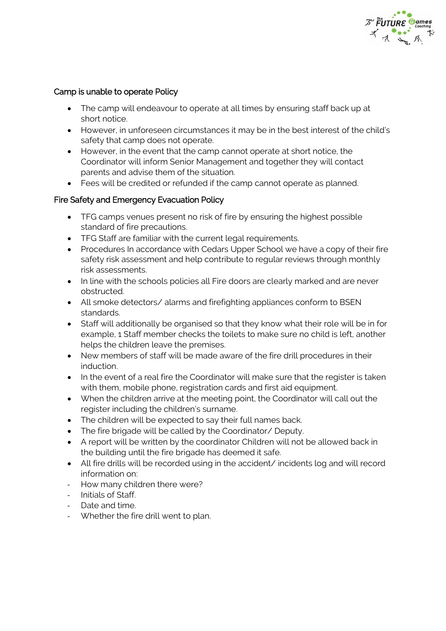

## Camp is unable to operate Policy

- The camp will endeavour to operate at all times by ensuring staff back up at short notice.
- However, in unforeseen circumstances it may be in the best interest of the child's safety that camp does not operate.
- However, in the event that the camp cannot operate at short notice, the Coordinator will inform Senior Management and together they will contact parents and advise them of the situation.
- Fees will be credited or refunded if the camp cannot operate as planned.

## Fire Safety and Emergency Evacuation Policy

- TFG camps venues present no risk of fire by ensuring the highest possible standard of fire precautions.
- TFG Staff are familiar with the current legal requirements.
- Procedures In accordance with Cedars Upper School we have a copy of their fire safety risk assessment and help contribute to regular reviews through monthly risk assessments.
- In line with the schools policies all Fire doors are clearly marked and are never obstructed.
- All smoke detectors/ alarms and firefighting appliances conform to BSEN standards.
- Staff will additionally be organised so that they know what their role will be in for example, 1 Staff member checks the toilets to make sure no child is left, another helps the children leave the premises.
- New members of staff will be made aware of the fire drill procedures in their induction.
- In the event of a real fire the Coordinator will make sure that the register is taken with them, mobile phone, registration cards and first aid equipment.
- When the children arrive at the meeting point, the Coordinator will call out the register including the children's surname.
- The children will be expected to say their full names back.
- The fire brigade will be called by the Coordinator/ Deputy.
- A report will be written by the coordinator Children will not be allowed back in the building until the fire brigade has deemed it safe.
- All fire drills will be recorded using in the accident/ incidents log and will record information on:
- How many children there were?
- Initials of Staff.
- Date and time.
- Whether the fire drill went to plan.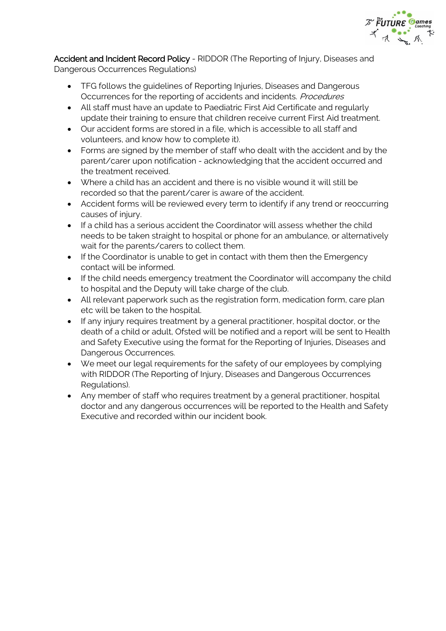

Accident and Incident Record Policy - RIDDOR (The Reporting of Injury, Diseases and Dangerous Occurrences Regulations)

- TFG follows the guidelines of Reporting Injuries, Diseases and Dangerous Occurrences for the reporting of accidents and incidents. Procedures
- All staff must have an update to Paediatric First Aid Certificate and regularly update their training to ensure that children receive current First Aid treatment.
- Our accident forms are stored in a file, which is accessible to all staff and volunteers, and know how to complete it).
- Forms are signed by the member of staff who dealt with the accident and by the parent/carer upon notification - acknowledging that the accident occurred and the treatment received.
- Where a child has an accident and there is no visible wound it will still be recorded so that the parent/carer is aware of the accident.
- Accident forms will be reviewed every term to identify if any trend or reoccurring causes of injury.
- If a child has a serious accident the Coordinator will assess whether the child needs to be taken straight to hospital or phone for an ambulance, or alternatively wait for the parents/carers to collect them.
- If the Coordinator is unable to get in contact with them then the Emergency contact will be informed.
- If the child needs emergency treatment the Coordinator will accompany the child to hospital and the Deputy will take charge of the club.
- All relevant paperwork such as the registration form, medication form, care plan etc will be taken to the hospital.
- If any injury requires treatment by a general practitioner, hospital doctor, or the death of a child or adult, Ofsted will be notified and a report will be sent to Health and Safety Executive using the format for the Reporting of Injuries, Diseases and Dangerous Occurrences.
- We meet our legal requirements for the safety of our employees by complying with RIDDOR (The Reporting of Injury, Diseases and Dangerous Occurrences Regulations).
- Any member of staff who requires treatment by a general practitioner, hospital doctor and any dangerous occurrences will be reported to the Health and Safety Executive and recorded within our incident book.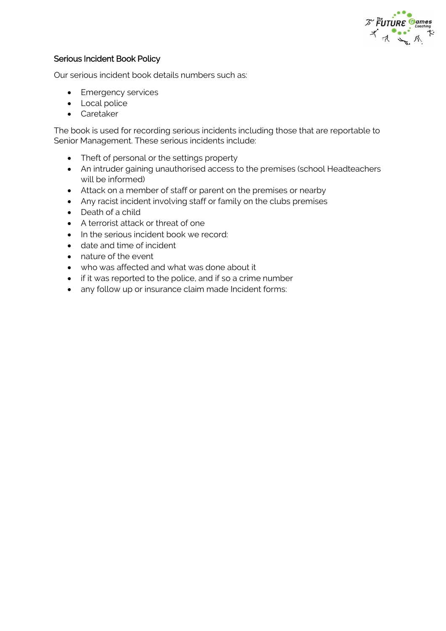

#### Serious Incident Book Policy

Our serious incident book details numbers such as:

- Emergency services
- Local police
- Caretaker

The book is used for recording serious incidents including those that are reportable to Senior Management. These serious incidents include:

- Theft of personal or the settings property
- An intruder gaining unauthorised access to the premises (school Headteachers will be informed)
- Attack on a member of staff or parent on the premises or nearby
- Any racist incident involving staff or family on the clubs premises
- Death of a child
- A terrorist attack or threat of one
- In the serious incident book we record:
- date and time of incident
- nature of the event
- who was affected and what was done about it
- if it was reported to the police, and if so a crime number
- any follow up or insurance claim made Incident forms: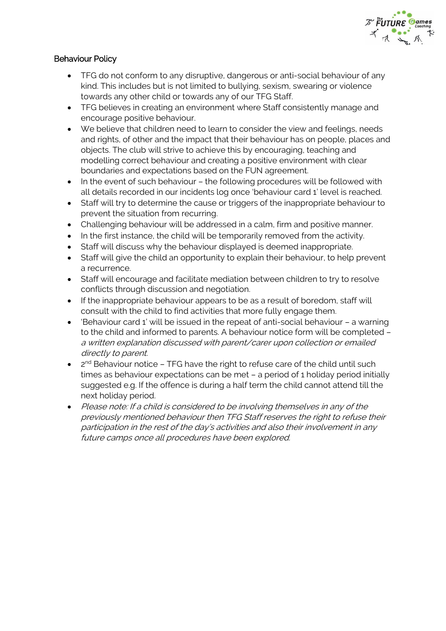

## Behaviour Policy

- TFG do not conform to any disruptive, dangerous or anti-social behaviour of any kind. This includes but is not limited to bullying, sexism, swearing or violence towards any other child or towards any of our TFG Staff.
- TFG believes in creating an environment where Staff consistently manage and encourage positive behaviour.
- We believe that children need to learn to consider the view and feelings, needs and rights, of other and the impact that their behaviour has on people, places and objects. The club will strive to achieve this by encouraging, teaching and modelling correct behaviour and creating a positive environment with clear boundaries and expectations based on the FUN agreement.
- In the event of such behaviour the following procedures will be followed with all details recorded in our incidents log once 'behaviour card 1' level is reached.
- Staff will try to determine the cause or triggers of the inappropriate behaviour to prevent the situation from recurring.
- Challenging behaviour will be addressed in a calm, firm and positive manner.
- In the first instance, the child will be temporarily removed from the activity.
- Staff will discuss why the behaviour displayed is deemed inappropriate.
- Staff will give the child an opportunity to explain their behaviour, to help prevent a recurrence.
- Staff will encourage and facilitate mediation between children to try to resolve conflicts through discussion and negotiation.
- If the inappropriate behaviour appears to be as a result of boredom, staff will consult with the child to find activities that more fully engage them.
- 'Behaviour card 1' will be issued in the repeat of anti-social behaviour a warning to the child and informed to parents. A behaviour notice form will be completed – a written explanation discussed with parent/carer upon collection or emailed directly to parent.
- $\bullet$  $2<sup>nd</sup>$  Behaviour notice – TFG have the right to refuse care of the child until such times as behaviour expectations can be met – a period of 1 holiday period initially suggested e.g. If the offence is during a half term the child cannot attend till the next holiday period.
- Please note: If a child is considered to be involving themselves in any of the previously mentioned behaviour then TFG Staff reserves the right to refuse their participation in the rest of the day's activities and also their involvement in any future camps once all procedures have been explored.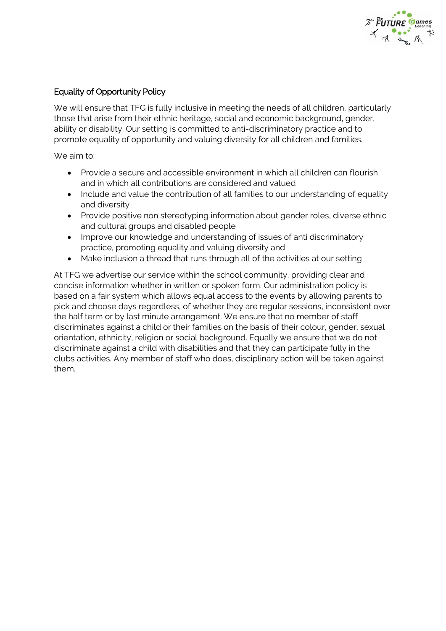

# Equality of Opportunity Policy

We will ensure that TFG is fully inclusive in meeting the needs of all children, particularly those that arise from their ethnic heritage, social and economic background, gender, ability or disability. Our setting is committed to anti-discriminatory practice and to promote equality of opportunity and valuing diversity for all children and families.

We aim to:

- Provide a secure and accessible environment in which all children can flourish and in which all contributions are considered and valued
- Include and value the contribution of all families to our understanding of equality and diversity
- Provide positive non stereotyping information about gender roles, diverse ethnic and cultural groups and disabled people
- Improve our knowledge and understanding of issues of anti discriminatory practice, promoting equality and valuing diversity and
- Make inclusion a thread that runs through all of the activities at our setting

At TFG we advertise our service within the school community, providing clear and concise information whether in written or spoken form. Our administration policy is based on a fair system which allows equal access to the events by allowing parents to pick and choose days regardless, of whether they are regular sessions, inconsistent over the half term or by last minute arrangement. We ensure that no member of staff discriminates against a child or their families on the basis of their colour, gender, sexual orientation, ethnicity, religion or social background. Equally we ensure that we do not discriminate against a child with disabilities and that they can participate fully in the clubs activities. Any member of staff who does, disciplinary action will be taken against them.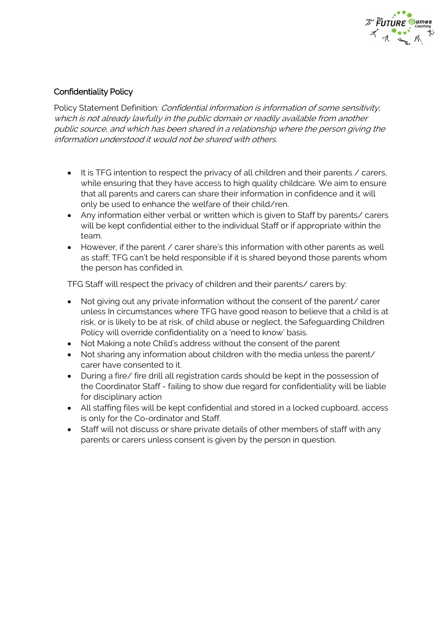

## Confidentiality Policy

Policy Statement Definition: *Confidential information is information of some sensitivity*, which is not already lawfully in the public domain or readily available from another public source, and which has been shared in a relationship where the person giving the information understood it would not be shared with others.

- It is TFG intention to respect the privacy of all children and their parents / carers, while ensuring that they have access to high quality childcare. We aim to ensure that all parents and carers can share their information in confidence and it will only be used to enhance the welfare of their child/ren.
- Any information either verbal or written which is given to Staff by parents/ carers will be kept confidential either to the individual Staff or if appropriate within the team.
- However, if the parent / carer share's this information with other parents as well as staff; TFG can't be held responsible if it is shared beyond those parents whom the person has confided in.

TFG Staff will respect the privacy of children and their parents/ carers by:

- Not giving out any private information without the consent of the parent/ carer unless In circumstances where TFG have good reason to believe that a child is at risk, or is likely to be at risk, of child abuse or neglect, the Safeguarding Children Policy will override confidentiality on a 'need to know' basis.
- Not Making a note Child's address without the consent of the parent
- Not sharing any information about children with the media unless the parent/ carer have consented to it.
- During a fire/ fire drill all registration cards should be kept in the possession of the Coordinator Staff - failing to show due regard for confidentiality will be liable for disciplinary action
- All staffing files will be kept confidential and stored in a locked cupboard, access is only for the Co-ordinator and Staff.
- Staff will not discuss or share private details of other members of staff with any parents or carers unless consent is given by the person in question.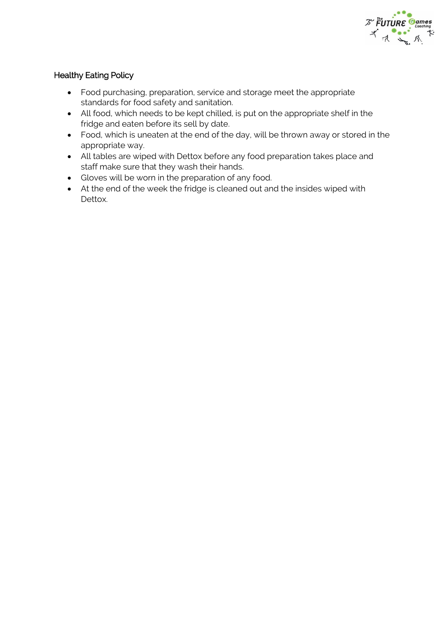

# Healthy Eating Policy

- Food purchasing, preparation, service and storage meet the appropriate standards for food safety and sanitation.
- All food, which needs to be kept chilled, is put on the appropriate shelf in the fridge and eaten before its sell by date.
- Food, which is uneaten at the end of the day, will be thrown away or stored in the appropriate way.
- All tables are wiped with Dettox before any food preparation takes place and staff make sure that they wash their hands.
- Gloves will be worn in the preparation of any food.
- At the end of the week the fridge is cleaned out and the insides wiped with Dettox.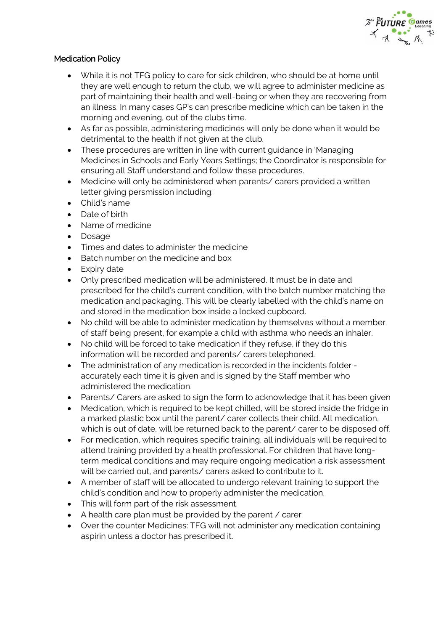

## Medication Policy

- While it is not TFG policy to care for sick children, who should be at home until they are well enough to return the club, we will agree to administer medicine as part of maintaining their health and well-being or when they are recovering from an illness. In many cases GP's can prescribe medicine which can be taken in the morning and evening, out of the clubs time.
- As far as possible, administering medicines will only be done when it would be detrimental to the health if not given at the club.
- These procedures are written in line with current guidance in 'Managing Medicines in Schools and Early Years Settings; the Coordinator is responsible for ensuring all Staff understand and follow these procedures.
- Medicine will only be administered when parents/ carers provided a written letter giving persmission including:
- Child's name
- Date of birth
- Name of medicine
- Dosage
- Times and dates to administer the medicine
- Batch number on the medicine and box
- Expiry date
- Only prescribed medication will be administered. It must be in date and prescribed for the child's current condition, with the batch number matching the medication and packaging. This will be clearly labelled with the child's name on and stored in the medication box inside a locked cupboard.
- No child will be able to administer medication by themselves without a member of staff being present, for example a child with asthma who needs an inhaler.
- No child will be forced to take medication if they refuse, if they do this information will be recorded and parents/ carers telephoned.
- The administration of any medication is recorded in the incidents folder accurately each time it is given and is signed by the Staff member who administered the medication.
- Parents/ Carers are asked to sign the form to acknowledge that it has been given
- Medication, which is required to be kept chilled, will be stored inside the fridge in a marked plastic box until the parent/ carer collects their child. All medication, which is out of date, will be returned back to the parent/ carer to be disposed off.
- For medication, which requires specific training, all individuals will be required to attend training provided by a health professional. For children that have longterm medical conditions and may require ongoing medication a risk assessment will be carried out, and parents/ carers asked to contribute to it.
- A member of staff will be allocated to undergo relevant training to support the child's condition and how to properly administer the medication.
- This will form part of the risk assessment.
- A health care plan must be provided by the parent / carer
- Over the counter Medicines: TFG will not administer any medication containing aspirin unless a doctor has prescribed it.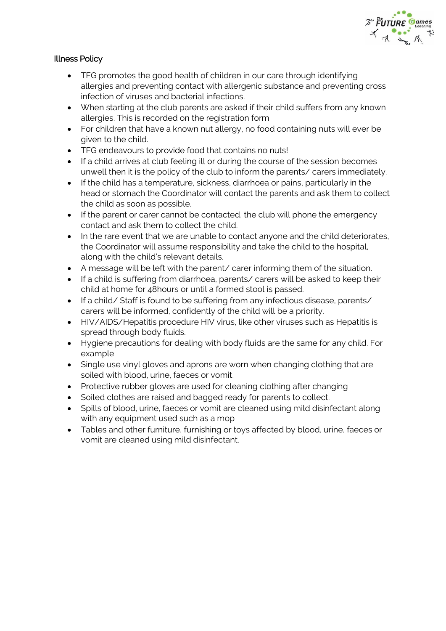

# Illness Policy

- TFG promotes the good health of children in our care through identifying allergies and preventing contact with allergenic substance and preventing cross infection of viruses and bacterial infections.
- When starting at the club parents are asked if their child suffers from any known allergies. This is recorded on the registration form
- For children that have a known nut allergy, no food containing nuts will ever be given to the child.
- TFG endeavours to provide food that contains no nuts!
- If a child arrives at club feeling ill or during the course of the session becomes unwell then it is the policy of the club to inform the parents/ carers immediately.
- If the child has a temperature, sickness, diarrhoea or pains, particularly in the head or stomach the Coordinator will contact the parents and ask them to collect the child as soon as possible.
- If the parent or carer cannot be contacted, the club will phone the emergency contact and ask them to collect the child.
- In the rare event that we are unable to contact anyone and the child deteriorates, the Coordinator will assume responsibility and take the child to the hospital, along with the child's relevant details.
- A message will be left with the parent/ carer informing them of the situation.
- If a child is suffering from diarrhoea, parents/ carers will be asked to keep their child at home for 48hours or until a formed stool is passed.
- If a child/ Staff is found to be suffering from any infectious disease, parents/ carers will be informed, confidently of the child will be a priority.
- HIV/AIDS/Hepatitis procedure HIV virus, like other viruses such as Hepatitis is spread through body fluids.
- Hygiene precautions for dealing with body fluids are the same for any child. For example
- Single use vinyl gloves and aprons are worn when changing clothing that are soiled with blood, urine, faeces or vomit.
- Protective rubber gloves are used for cleaning clothing after changing
- Soiled clothes are raised and bagged ready for parents to collect.
- Spills of blood, urine, faeces or vomit are cleaned using mild disinfectant along with any equipment used such as a mop
- Tables and other furniture, furnishing or toys affected by blood, urine, faeces or vomit are cleaned using mild disinfectant.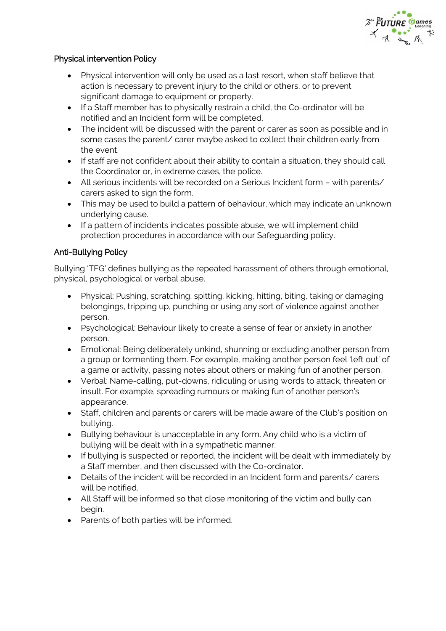

## Physical intervention Policy

- Physical intervention will only be used as a last resort, when staff believe that action is necessary to prevent injury to the child or others, or to prevent significant damage to equipment or property.
- If a Staff member has to physically restrain a child, the Co-ordinator will be notified and an Incident form will be completed.
- The incident will be discussed with the parent or carer as soon as possible and in some cases the parent/ carer maybe asked to collect their children early from the event.
- If staff are not confident about their ability to contain a situation, they should call the Coordinator or, in extreme cases, the police.
- All serious incidents will be recorded on a Serious Incident form with parents/ carers asked to sign the form.
- This may be used to build a pattern of behaviour, which may indicate an unknown underlying cause.
- If a pattern of incidents indicates possible abuse, we will implement child protection procedures in accordance with our Safeguarding policy.

## Anti-Bullying Policy

Bullying 'TFG' defines bullying as the repeated harassment of others through emotional, physical, psychological or verbal abuse.

- Physical: Pushing, scratching, spitting, kicking, hitting, biting, taking or damaging belongings, tripping up, punching or using any sort of violence against another person.
- Psychological: Behaviour likely to create a sense of fear or anxiety in another person.
- Emotional: Being deliberately unkind, shunning or excluding another person from a group or tormenting them. For example, making another person feel 'left out' of a game or activity, passing notes about others or making fun of another person.
- Verbal: Name-calling, put-downs, ridiculing or using words to attack, threaten or insult. For example, spreading rumours or making fun of another person's appearance.
- Staff, children and parents or carers will be made aware of the Club's position on bullying.
- Bullying behaviour is unacceptable in any form. Any child who is a victim of bullying will be dealt with in a sympathetic manner.
- If bullying is suspected or reported, the incident will be dealt with immediately by a Staff member, and then discussed with the Co-ordinator.
- Details of the incident will be recorded in an Incident form and parents/ carers will be notified.
- All Staff will be informed so that close monitoring of the victim and bully can begin.
- Parents of both parties will be informed.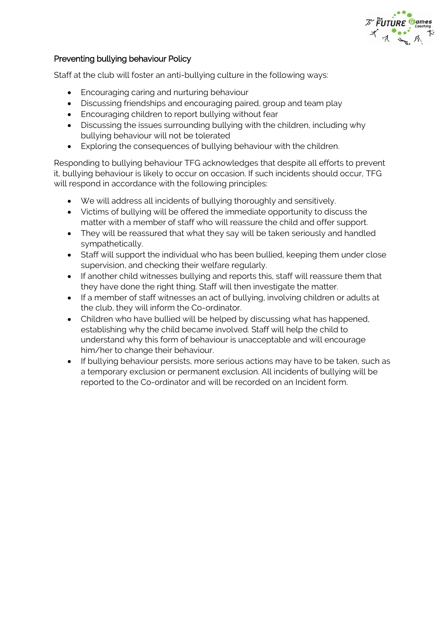#### Preventing bullying behaviour Policy

Staff at the club will foster an anti-bullying culture in the following ways:

- Encouraging caring and nurturing behaviour
- Discussing friendships and encouraging paired, group and team play
- Encouraging children to report bullying without fear
- Discussing the issues surrounding bullying with the children, including why bullying behaviour will not be tolerated
- Exploring the consequences of bullying behaviour with the children.

Responding to bullying behaviour TFG acknowledges that despite all efforts to prevent it, bullying behaviour is likely to occur on occasion. If such incidents should occur, TFG will respond in accordance with the following principles:

- We will address all incidents of bullying thoroughly and sensitively.
- Victims of bullying will be offered the immediate opportunity to discuss the matter with a member of staff who will reassure the child and offer support.
- They will be reassured that what they say will be taken seriously and handled sympathetically.
- Staff will support the individual who has been bullied, keeping them under close supervision, and checking their welfare regularly.
- If another child witnesses bullying and reports this, staff will reassure them that they have done the right thing. Staff will then investigate the matter.
- If a member of staff witnesses an act of bullying, involving children or adults at the club, they will inform the Co-ordinator.
- Children who have bullied will be helped by discussing what has happened, establishing why the child became involved. Staff will help the child to understand why this form of behaviour is unacceptable and will encourage him/her to change their behaviour.
- If bullying behaviour persists, more serious actions may have to be taken, such as a temporary exclusion or permanent exclusion. All incidents of bullying will be reported to the Co-ordinator and will be recorded on an Incident form.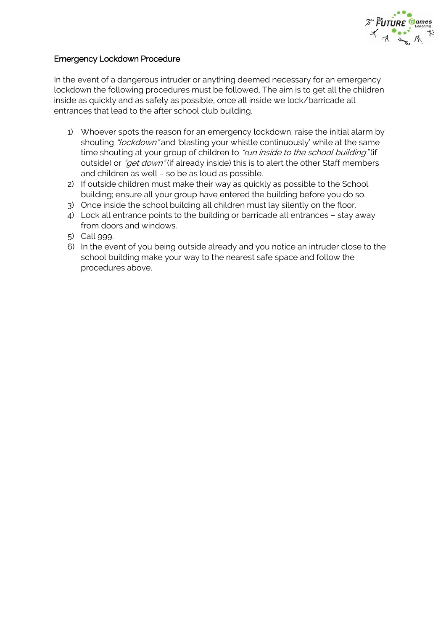

#### Emergency Lockdown Procedure

In the event of a dangerous intruder or anything deemed necessary for an emergency lockdown the following procedures must be followed. The aim is to get all the children inside as quickly and as safely as possible, once all inside we lock/barricade all entrances that lead to the after school club building.

- 1) Whoever spots the reason for an emergency lockdown; raise the initial alarm by shouting "lockdown" and 'blasting your whistle continuously' while at the same time shouting at your group of children to "run inside to the school building" (if outside) or "get down" (if already inside) this is to alert the other Staff members and children as well – so be as loud as possible.
- 2) If outside children must make their way as quickly as possible to the School building; ensure all your group have entered the building before you do so.
- 3) Once inside the school building all children must lay silently on the floor.
- 4) Lock all entrance points to the building or barricade all entrances stay away from doors and windows.
- 5) Call 999.
- 6) In the event of you being outside already and you notice an intruder close to the school building make your way to the nearest safe space and follow the procedures above.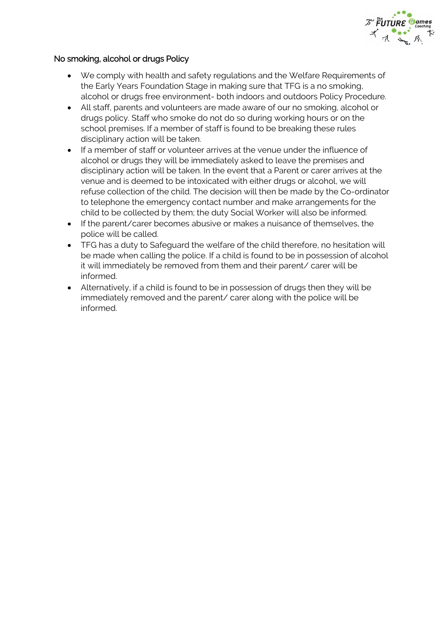

#### No smoking, alcohol or drugs Policy

- We comply with health and safety regulations and the Welfare Requirements of the Early Years Foundation Stage in making sure that TFG is a no smoking, alcohol or drugs free environment- both indoors and outdoors Policy Procedure.
- All staff, parents and volunteers are made aware of our no smoking, alcohol or drugs policy. Staff who smoke do not do so during working hours or on the school premises. If a member of staff is found to be breaking these rules disciplinary action will be taken.
- If a member of staff or volunteer arrives at the venue under the influence of alcohol or drugs they will be immediately asked to leave the premises and disciplinary action will be taken. In the event that a Parent or carer arrives at the venue and is deemed to be intoxicated with either drugs or alcohol, we will refuse collection of the child. The decision will then be made by the Co-ordinator to telephone the emergency contact number and make arrangements for the child to be collected by them; the duty Social Worker will also be informed.
- If the parent/carer becomes abusive or makes a nuisance of themselves, the police will be called.
- TFG has a duty to Safeguard the welfare of the child therefore, no hesitation will be made when calling the police. If a child is found to be in possession of alcohol it will immediately be removed from them and their parent/ carer will be informed.
- Alternatively, if a child is found to be in possession of drugs then they will be immediately removed and the parent/ carer along with the police will be informed.